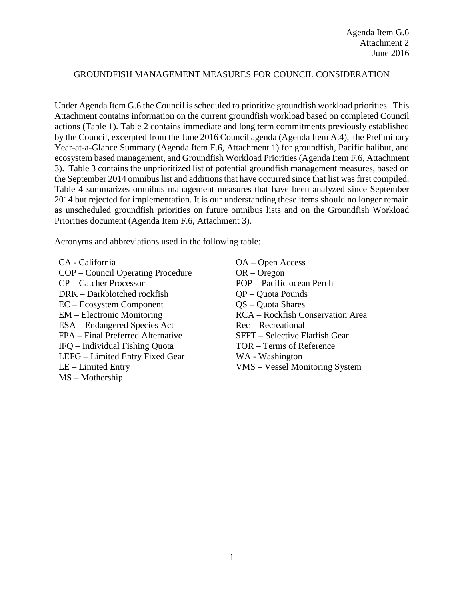#### GROUNDFISH MANAGEMENT MEASURES FOR COUNCIL CONSIDERATION

Under Agenda Item G.6 the Council is scheduled to prioritize groundfish workload priorities. This Attachment contains information on the current groundfish workload based on completed Council actions (Table 1). Table 2 contains immediate and long term commitments previously established by the Council, excerpted from the June 2016 Council agenda (Agenda Item A.4), the Preliminary Year-at-a-Glance Summary (Agenda Item F.6, Attachment 1) for groundfish, Pacific halibut, and ecosystem based management, and Groundfish Workload Priorities (Agenda Item F.6, Attachment 3). Table 3 contains the unprioritized list of potential groundfish management measures, based on the September 2014 omnibus list and additions that have occurred since that list was first compiled. Table 4 summarizes omnibus management measures that have been analyzed since September 2014 but rejected for implementation. It is our understanding these items should no longer remain as unscheduled groundfish priorities on future omnibus lists and on the Groundfish Workload Priorities document (Agenda Item F.6, Attachment 3).

Acronyms and abbreviations used in the following table:

- CA California COP – Council Operating Procedure CP – Catcher Processor DRK – Darkblotched rockfish EC – Ecosystem Component EM – Electronic Monitoring ESA – Endangered Species Act FPA – Final Preferred Alternative IFQ – Individual Fishing Quota LEFG – Limited Entry Fixed Gear LE – Limited Entry MS – Mothership
- OA Open Access OR – Oregon POP – Pacific ocean Perch QP – Quota Pounds QS – Quota Shares RCA – Rockfish Conservation Area Rec – Recreational SFFT – Selective Flatfish Gear TOR – Terms of Reference WA - Washington VMS – Vessel Monitoring System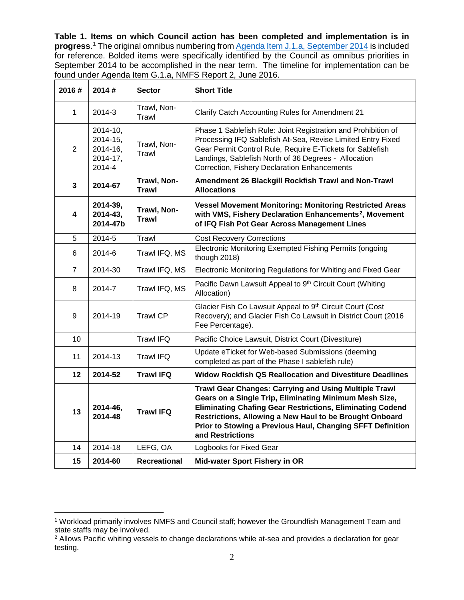**Table 1. Items on which Council action has been completed and implementation is in progress**. [1](#page-1-0) The original omnibus numbering fro[m Agenda Item J.1.a, September 2014](http://www.pcouncil.org/wp-content/uploads/J1a_Att1_TheList_SEPT2014BB.pdf) is included for reference. Bolded items were specifically identified by the Council as omnibus priorities in September 2014 to be accomplished in the near term. The timeline for implementation can be found under Agenda Item G.1.a, NMFS Report 2, June 2016.

| 2016#          | 2014#                                                            | <b>Sector</b>               | <b>Short Title</b>                                                                                                                                                                                                                                                                                                                      |  |
|----------------|------------------------------------------------------------------|-----------------------------|-----------------------------------------------------------------------------------------------------------------------------------------------------------------------------------------------------------------------------------------------------------------------------------------------------------------------------------------|--|
| 1              | 2014-3                                                           | Trawl, Non-<br>Trawl        | Clarify Catch Accounting Rules for Amendment 21                                                                                                                                                                                                                                                                                         |  |
| $\overline{2}$ | $2014 - 10$ ,<br>$2014 - 15$ ,<br>2014-16,<br>2014-17,<br>2014-4 | Trawl, Non-<br>Trawl        | Phase 1 Sablefish Rule: Joint Registration and Prohibition of<br>Processing IFQ Sablefish At-Sea, Revise Limited Entry Fixed<br>Gear Permit Control Rule, Require E-Tickets for Sablefish<br>Landings, Sablefish North of 36 Degrees - Allocation<br>Correction, Fishery Declaration Enhancements                                       |  |
| 3              | 2014-67                                                          | Trawl, Non-<br><b>Trawl</b> | Amendment 26 Blackgill Rockfish Trawl and Non-Trawl<br><b>Allocations</b>                                                                                                                                                                                                                                                               |  |
| 4              | 2014-39,<br>2014-43,<br>2014-47b                                 | Trawl, Non-<br><b>Trawl</b> | <b>Vessel Movement Monitoring: Monitoring Restricted Areas</b><br>with VMS, Fishery Declaration Enhancements <sup>2</sup> , Movement<br>of IFQ Fish Pot Gear Across Management Lines                                                                                                                                                    |  |
| 5              | 2014-5                                                           | Trawl                       | <b>Cost Recovery Corrections</b>                                                                                                                                                                                                                                                                                                        |  |
| 6              | 2014-6                                                           | Trawl IFQ, MS               | Electronic Monitoring Exempted Fishing Permits (ongoing<br>though 2018)                                                                                                                                                                                                                                                                 |  |
| $\overline{7}$ | 2014-30                                                          | Trawl IFQ, MS               | Electronic Monitoring Regulations for Whiting and Fixed Gear                                                                                                                                                                                                                                                                            |  |
| 8              | 2014-7                                                           | Trawl IFQ, MS               | Pacific Dawn Lawsuit Appeal to 9th Circuit Court (Whiting<br>Allocation)                                                                                                                                                                                                                                                                |  |
| 9              | 2014-19                                                          | <b>Trawl CP</b>             | Glacier Fish Co Lawsuit Appeal to 9th Circuit Court (Cost<br>Recovery); and Glacier Fish Co Lawsuit in District Court (2016<br>Fee Percentage).                                                                                                                                                                                         |  |
| 10             |                                                                  | <b>Trawl IFQ</b>            | Pacific Choice Lawsuit, District Court (Divestiture)                                                                                                                                                                                                                                                                                    |  |
| 11             | 2014-13                                                          | <b>Trawl IFQ</b>            | Update eTicket for Web-based Submissions (deeming<br>completed as part of the Phase I sablefish rule)                                                                                                                                                                                                                                   |  |
| 12             | 2014-52                                                          | <b>Trawl IFQ</b>            | <b>Widow Rockfish QS Reallocation and Divestiture Deadlines</b>                                                                                                                                                                                                                                                                         |  |
| 13             | 2014-46,<br>2014-48                                              | <b>Trawl IFQ</b>            | <b>Trawl Gear Changes: Carrying and Using Multiple Trawl</b><br>Gears on a Single Trip, Eliminating Minimum Mesh Size,<br><b>Eliminating Chafing Gear Restrictions, Eliminating Codend</b><br>Restrictions, Allowing a New Haul to be Brought Onboard<br>Prior to Stowing a Previous Haul, Changing SFFT Definition<br>and Restrictions |  |
| 14             | 2014-18                                                          | LEFG, OA                    | Logbooks for Fixed Gear                                                                                                                                                                                                                                                                                                                 |  |
| 15             | 2014-60                                                          | Recreational                | <b>Mid-water Sport Fishery in OR</b>                                                                                                                                                                                                                                                                                                    |  |

<span id="page-1-0"></span> $\overline{a}$ <sup>1</sup> Workload primarily involves NMFS and Council staff; however the Groundfish Management Team and state staffs may be involved.

<span id="page-1-1"></span><sup>2</sup> Allows Pacific whiting vessels to change declarations while at-sea and provides a declaration for gear testing.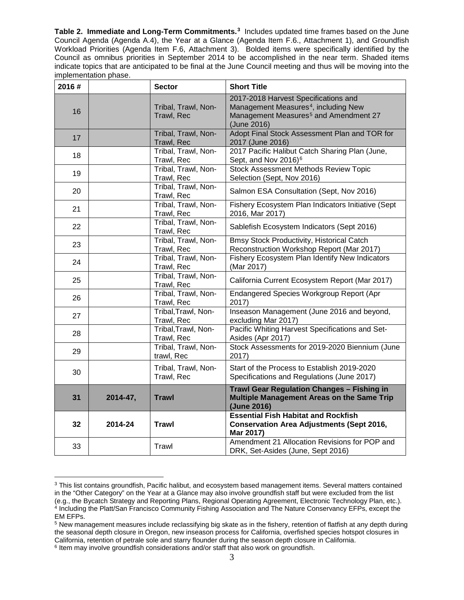**Table 2. Immediate and Long-Term Commitments.<sup>[3](#page-2-0)</sup> Includes updated time frames based on the June** Council Agenda (Agenda A.4), the Year at a Glance (Agenda Item F.6., Attachment 1), and Groundfish Workload Priorities (Agenda Item F.6, Attachment 3). Bolded items were specifically identified by the Council as omnibus priorities in September 2014 to be accomplished in the near term. Shaded items indicate topics that are anticipated to be final at the June Council meeting and thus will be moving into the implementation phase.

| 2016# |          | <b>Sector</b>                     | <b>Short Title</b>                                                                                                                                           |
|-------|----------|-----------------------------------|--------------------------------------------------------------------------------------------------------------------------------------------------------------|
| 16    |          | Tribal, Trawl, Non-<br>Trawl, Rec | 2017-2018 Harvest Specifications and<br>Management Measures <sup>4</sup> , including New<br>Management Measures <sup>5</sup> and Amendment 27<br>(June 2016) |
| 17    |          | Tribal, Trawl, Non-<br>Trawl, Rec | Adopt Final Stock Assessment Plan and TOR for<br>2017 (June 2016)                                                                                            |
| 18    |          | Tribal, Trawl, Non-<br>Trawl, Rec | 2017 Pacific Halibut Catch Sharing Plan (June,<br>Sept, and Nov 2016) <sup>6</sup>                                                                           |
| 19    |          | Tribal, Trawl, Non-<br>Trawl, Rec | <b>Stock Assessment Methods Review Topic</b><br>Selection (Sept, Nov 2016)                                                                                   |
| 20    |          | Tribal, Trawl, Non-<br>Trawl, Rec | Salmon ESA Consultation (Sept, Nov 2016)                                                                                                                     |
| 21    |          | Tribal, Trawl, Non-<br>Trawl, Rec | Fishery Ecosystem Plan Indicators Initiative (Sept<br>2016, Mar 2017)                                                                                        |
| 22    |          | Tribal, Trawl, Non-<br>Trawl, Rec | Sablefish Ecosystem Indicators (Sept 2016)                                                                                                                   |
| 23    |          | Tribal, Trawl, Non-<br>Trawl, Rec | <b>Bmsy Stock Productivity, Historical Catch</b><br>Reconstruction Workshop Report (Mar 2017)                                                                |
| 24    |          | Tribal, Trawl, Non-<br>Trawl, Rec | Fishery Ecosystem Plan Identify New Indicators<br>(Mar 2017)                                                                                                 |
| 25    |          | Tribal, Trawl, Non-<br>Trawl, Rec | California Current Ecosystem Report (Mar 2017)                                                                                                               |
| 26    |          | Tribal, Trawl, Non-<br>Trawl, Rec | <b>Endangered Species Workgroup Report (Apr</b><br>2017)                                                                                                     |
| 27    |          | Tribal, Trawl, Non-<br>Trawl, Rec | Inseason Management (June 2016 and beyond,<br>excluding Mar 2017)                                                                                            |
| 28    |          | Tribal, Trawl, Non-<br>Trawl, Rec | Pacific Whiting Harvest Specifications and Set-<br>Asides (Apr 2017)                                                                                         |
| 29    |          | Tribal, Trawl, Non-<br>trawl, Rec | Stock Assessments for 2019-2020 Biennium (June<br>2017)                                                                                                      |
| 30    |          | Tribal, Trawl, Non-<br>Trawl, Rec | Start of the Process to Establish 2019-2020<br>Specifications and Regulations (June 2017)                                                                    |
| 31    | 2014-47, | <b>Trawl</b>                      | <b>Trawl Gear Regulation Changes - Fishing in</b><br>Multiple Management Areas on the Same Trip<br>(June 2016)                                               |
| 32    | 2014-24  | <b>Trawl</b>                      | <b>Essential Fish Habitat and Rockfish</b><br><b>Conservation Area Adjustments (Sept 2016,</b><br>Mar 2017)                                                  |
| 33    |          | Trawl                             | Amendment 21 Allocation Revisions for POP and<br>DRK, Set-Asides (June, Sept 2016)                                                                           |

<span id="page-2-0"></span> $\overline{a}$ <sup>3</sup> This list contains groundfish, Pacific halibut, and ecosystem based management items. Several matters contained in the "Other Category" on the Year at a Glance may also involve groundfish staff but were excluded from the list (e.g., the Bycatch Strategy and Reporting Plans, Regional Operating Agreement, Electronic Technology Plan, etc.). <sup>4</sup> Including the Platt/San Francisco Community Fishing Association and The Nature Conservancy EFPs, except the EM EFPs.

<span id="page-2-3"></span><span id="page-2-2"></span><span id="page-2-1"></span><sup>5</sup> New management measures include reclassifying big skate as in the fishery, retention of flatfish at any depth during the seasonal depth closure in Oregon, new inseason process for California, overfished species hotspot closures in California, retention of petrale sole and starry flounder during the season depth closure in California. <sup>6</sup> Item may involve groundfish considerations and/or staff that also work on groundfish.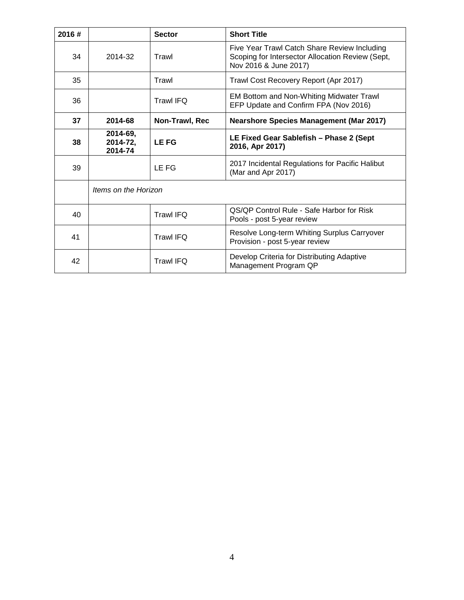| 2016# |                                 | <b>Sector</b>    | <b>Short Title</b>                                                                                                        |
|-------|---------------------------------|------------------|---------------------------------------------------------------------------------------------------------------------------|
| 34    | 2014-32                         | Trawl            | Five Year Trawl Catch Share Review Including<br>Scoping for Intersector Allocation Review (Sept,<br>Nov 2016 & June 2017) |
| 35    |                                 | Trawl            | Trawl Cost Recovery Report (Apr 2017)                                                                                     |
| 36    |                                 | <b>Trawl IFQ</b> | EM Bottom and Non-Whiting Midwater Trawl<br>EFP Update and Confirm FPA (Nov 2016)                                         |
| 37    | 2014-68                         | Non-Trawl, Rec   | <b>Nearshore Species Management (Mar 2017)</b>                                                                            |
| 38    | 2014-69,<br>2014-72,<br>2014-74 | <b>LEFG</b>      | LE Fixed Gear Sablefish - Phase 2 (Sept<br>2016, Apr 2017)                                                                |
| 39    |                                 | LE FG            | 2017 Incidental Regulations for Pacific Halibut<br>(Mar and Apr 2017)                                                     |
|       | Items on the Horizon            |                  |                                                                                                                           |
| 40    |                                 | <b>Trawl IFQ</b> | QS/QP Control Rule - Safe Harbor for Risk<br>Pools - post 5-year review                                                   |
| 41    |                                 | <b>Trawl IFQ</b> | Resolve Long-term Whiting Surplus Carryover<br>Provision - post 5-year review                                             |
| 42    |                                 | <b>Trawl IFQ</b> | Develop Criteria for Distributing Adaptive<br>Management Program QP                                                       |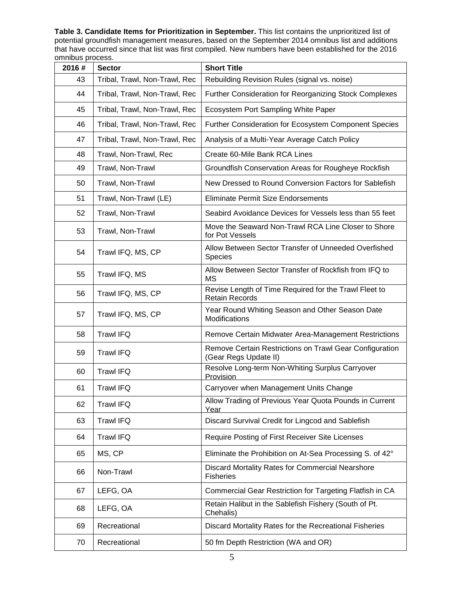**Table 3. Candidate Items for Prioritization in September.** This list contains the unprioritized list of potential groundfish management measures, based on the September 2014 omnibus list and additions that have occurred since that list was first compiled. New numbers have been established for the 2016 omnibus process.

| 2016# | <b>Sector</b>                 | <b>Short Title</b>                                                               |
|-------|-------------------------------|----------------------------------------------------------------------------------|
| 43    | Tribal, Trawl, Non-Trawl, Rec | Rebuilding Revision Rules (signal vs. noise)                                     |
| 44    | Tribal, Trawl, Non-Trawl, Rec | Further Consideration for Reorganizing Stock Complexes                           |
| 45    | Tribal, Trawl, Non-Trawl, Rec | Ecosystem Port Sampling White Paper                                              |
| 46    | Tribal, Trawl, Non-Trawl, Rec | Further Consideration for Ecosystem Component Species                            |
| 47    | Tribal, Trawl, Non-Trawl, Rec | Analysis of a Multi-Year Average Catch Policy                                    |
| 48    | Trawl, Non-Trawl, Rec         | Create 60-Mile Bank RCA Lines                                                    |
| 49    | Trawl, Non-Trawl              | Groundfish Conservation Areas for Rougheye Rockfish                              |
| 50    | Trawl, Non-Trawl              | New Dressed to Round Conversion Factors for Sablefish                            |
| 51    | Trawl, Non-Trawl (LE)         | <b>Eliminate Permit Size Endorsements</b>                                        |
| 52    | Trawl, Non-Trawl              | Seabird Avoidance Devices for Vessels less than 55 feet                          |
| 53    | Trawl, Non-Trawl              | Move the Seaward Non-Trawl RCA Line Closer to Shore<br>for Pot Vessels           |
| 54    | Trawl IFQ, MS, CP             | Allow Between Sector Transfer of Unneeded Overfished<br>Species                  |
| 55    | Trawl IFQ, MS                 | Allow Between Sector Transfer of Rockfish from IFQ to<br><b>MS</b>               |
| 56    | Trawl IFQ, MS, CP             | Revise Length of Time Required for the Trawl Fleet to<br><b>Retain Records</b>   |
| 57    | Trawl IFQ, MS, CP             | Year Round Whiting Season and Other Season Date<br>Modifications                 |
| 58    | <b>Trawl IFQ</b>              | Remove Certain Midwater Area-Management Restrictions                             |
| 59    | <b>Trawl IFQ</b>              | Remove Certain Restrictions on Trawl Gear Configuration<br>(Gear Regs Update II) |
| 60    | <b>Trawl IFQ</b>              | Resolve Long-term Non-Whiting Surplus Carryover<br>Provision                     |
| 61    | <b>Trawl IFQ</b>              | Carryover when Management Units Change                                           |
| 62    | <b>Trawl IFQ</b>              | Allow Trading of Previous Year Quota Pounds in Current<br>Year                   |
| 63    | <b>Trawl IFQ</b>              | Discard Survival Credit for Lingcod and Sablefish                                |
| 64    | <b>Trawl IFQ</b>              | Require Posting of First Receiver Site Licenses                                  |
| 65    | MS, CP                        | Eliminate the Prohibition on At-Sea Processing S. of 42°                         |
| 66    | Non-Trawl                     | Discard Mortality Rates for Commercial Nearshore<br><b>Fisheries</b>             |
| 67    | LEFG, OA                      | Commercial Gear Restriction for Targeting Flatfish in CA                         |
| 68    | LEFG, OA                      | Retain Halibut in the Sablefish Fishery (South of Pt.<br>Chehalis)               |
| 69    | Recreational                  | Discard Mortality Rates for the Recreational Fisheries                           |
| 70    | Recreational                  | 50 fm Depth Restriction (WA and OR)                                              |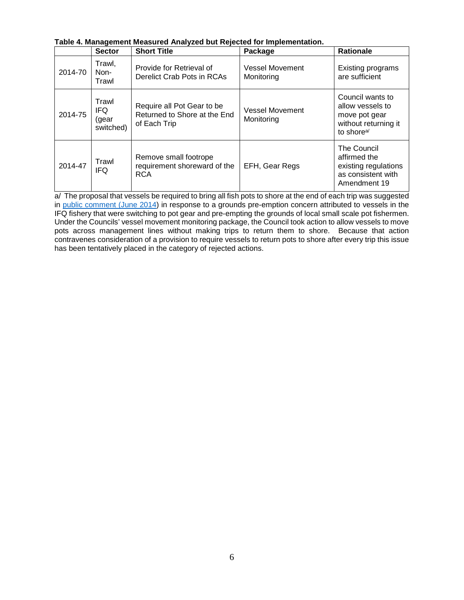| Table 4. Management Measured Analyzed but Rejected for Implementation. |  |
|------------------------------------------------------------------------|--|
|------------------------------------------------------------------------|--|

|         | <b>Sector</b>                       | <b>Short Title</b>                                                         | Package                              | <b>Rationale</b>                                                                                        |
|---------|-------------------------------------|----------------------------------------------------------------------------|--------------------------------------|---------------------------------------------------------------------------------------------------------|
| 2014-70 | Trawl,<br>Non-<br>Trawl             | Provide for Retrieval of<br>Derelict Crab Pots in RCAs                     | <b>Vessel Movement</b><br>Monitoring | Existing programs<br>are sufficient                                                                     |
| 2014-75 | Trawl<br>IFQ.<br>(gear<br>switched) | Require all Pot Gear to be<br>Returned to Shore at the End<br>of Each Trip | <b>Vessel Movement</b><br>Monitoring | Council wants to<br>allow vessels to<br>move pot gear<br>without returning it<br>to shore <sup>a/</sup> |
| 2014-47 | Trawl<br><b>IFQ</b>                 | Remove small footrope<br>requirement shoreward of the<br><b>RCA</b>        | EFH, Gear Regs                       | The Council<br>affirmed the<br>existing regulations<br>as consistent with<br>Amendment 19               |

a/ The proposal that vessels be required to bring all fish pots to shore at the end of each trip was suggested in [public comment \(June 2014\)](http://www.pcouncil.org/wp-content/uploads/F3c_PubCom_JUNE2014BB.pdf) in response to a grounds pre-emption concern attributed to vessels in the IFQ fishery that were switching to pot gear and pre-empting the grounds of local small scale pot fishermen. Under the Councils' vessel movement monitoring package, the Council took action to allow vessels to move pots across management lines without making trips to return them to shore. Because that action contravenes consideration of a provision to require vessels to return pots to shore after every trip this issue has been tentatively placed in the category of rejected actions.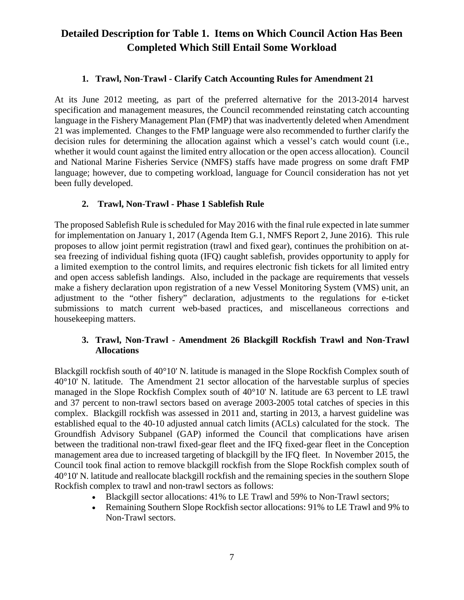# **Detailed Description for Table 1. Items on Which Council Action Has Been Completed Which Still Entail Some Workload**

### **1. Trawl, Non-Trawl - Clarify Catch Accounting Rules for Amendment 21**

<span id="page-6-0"></span>At its June 2012 meeting, as part of the preferred alternative for the 2013-2014 harvest specification and management measures, the Council recommended reinstating catch accounting language in the Fishery Management Plan (FMP) that was inadvertently deleted when Amendment 21 was implemented. Changes to the FMP language were also recommended to further clarify the decision rules for determining the allocation against which a vessel's catch would count (i.e., whether it would count against the limited entry allocation or the open access allocation). Council and National Marine Fisheries Service (NMFS) staffs have made progress on some draft FMP language; however, due to competing workload, language for Council consideration has not yet been fully developed.

### <span id="page-6-1"></span>**2. Trawl, Non-Trawl - Phase 1 Sablefish Rule**

The proposed Sablefish Rule is scheduled for May 2016 with the final rule expected in late summer for implementation on January 1, 2017 (Agenda Item G.1, NMFS Report 2, June 2016). This rule proposes to allow joint permit registration (trawl and fixed gear), continues the prohibition on atsea freezing of individual fishing quota (IFQ) caught sablefish, provides opportunity to apply for a limited exemption to the control limits, and requires electronic fish tickets for all limited entry and open access sablefish landings. Also, included in the package are requirements that vessels make a fishery declaration upon registration of a new Vessel Monitoring System (VMS) unit, an adjustment to the "other fishery" declaration, adjustments to the regulations for e-ticket submissions to match current web-based practices, and miscellaneous corrections and housekeeping matters.

### <span id="page-6-2"></span>**3. Trawl, Non-Trawl - Amendment 26 Blackgill Rockfish Trawl and Non-Trawl Allocations**

Blackgill rockfish south of 40°10' N. latitude is managed in the Slope Rockfish Complex south of 40°10' N. latitude. The Amendment 21 sector allocation of the harvestable surplus of species managed in the Slope Rockfish Complex south of 40°10' N. latitude are 63 percent to LE trawl and 37 percent to non-trawl sectors based on average 2003-2005 total catches of species in this complex. Blackgill rockfish was assessed in 2011 and, starting in 2013, a harvest guideline was established equal to the 40-10 adjusted annual catch limits (ACLs) calculated for the stock. The Groundfish Advisory Subpanel (GAP) informed the Council that complications have arisen between the traditional non-trawl fixed-gear fleet and the IFQ fixed-gear fleet in the Conception management area due to increased targeting of blackgill by the IFQ fleet. In November 2015, the Council took final action to remove blackgill rockfish from the Slope Rockfish complex south of 40°10' N. latitude and reallocate blackgill rockfish and the remaining species in the southern Slope Rockfish complex to trawl and non-trawl sectors as follows:

- Blackgill sector allocations: 41% to LE Trawl and 59% to Non-Trawl sectors;
- Remaining Southern Slope Rockfish sector allocations: 91% to LE Trawl and 9% to Non-Trawl sectors.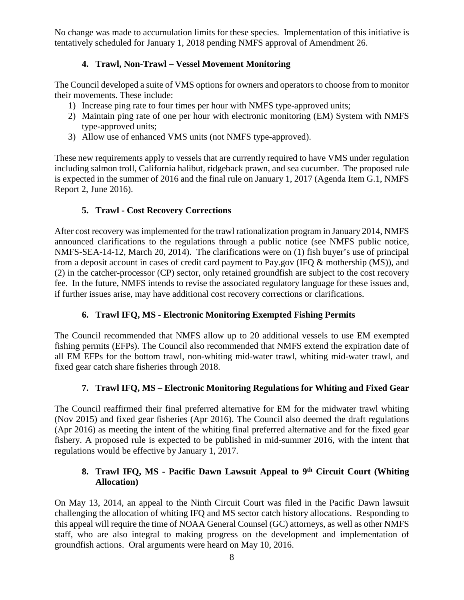No change was made to accumulation limits for these species. Implementation of this initiative is tentatively scheduled for January 1, 2018 pending NMFS approval of Amendment 26.

# **4. Trawl, Non-Trawl – Vessel Movement Monitoring**

<span id="page-7-0"></span>The Council developed a suite of VMS options for owners and operators to choose from to monitor their movements. These include:

- 1) Increase ping rate to four times per hour with NMFS type-approved units;
- 2) Maintain ping rate of one per hour with electronic monitoring (EM) System with NMFS type-approved units;
- 3) Allow use of enhanced VMS units (not NMFS type-approved).

These new requirements apply to vessels that are currently required to have VMS under regulation including salmon troll, California halibut, ridgeback prawn, and sea cucumber. The proposed rule is expected in the summer of 2016 and the final rule on January 1, 2017 (Agenda Item G.1, NMFS Report 2, June 2016).

# **5. Trawl - Cost Recovery Corrections**

<span id="page-7-1"></span>After cost recovery was implemented for the trawl rationalization program in January 2014, NMFS announced clarifications to the regulations through a public notice (see NMFS public notice, NMFS-SEA-14-12, March 20, 2014). The clarifications were on (1) fish buyer's use of principal from a deposit account in cases of credit card payment to Pay.gov (IFQ & mothership (MS)), and (2) in the catcher-processor (CP) sector, only retained groundfish are subject to the cost recovery fee. In the future, NMFS intends to revise the associated regulatory language for these issues and, if further issues arise, may have additional cost recovery corrections or clarifications.

# **6. Trawl IFQ, MS - Electronic Monitoring Exempted Fishing Permits**

<span id="page-7-2"></span>The Council recommended that NMFS allow up to 20 additional vessels to use EM exempted fishing permits (EFPs). The Council also recommended that NMFS extend the expiration date of all EM EFPs for the bottom trawl, non-whiting mid-water trawl, whiting mid-water trawl, and fixed gear catch share fisheries through 2018.

# **7. Trawl IFQ, MS – Electronic Monitoring Regulations for Whiting and Fixed Gear**

<span id="page-7-3"></span>The Council reaffirmed their final preferred alternative for EM for the midwater trawl whiting (Nov 2015) and fixed gear fisheries (Apr 2016). The Council also deemed the draft regulations (Apr 2016) as meeting the intent of the whiting final preferred alternative and for the fixed gear fishery. A proposed rule is expected to be published in mid-summer 2016, with the intent that regulations would be effective by January 1, 2017.

# <span id="page-7-4"></span>8. **Trawl IFQ, MS - Pacific Dawn Lawsuit Appeal to 9<sup>th</sup> Circuit Court (Whiting Allocation)**

On May 13, 2014, an [appeal to the Ninth Circuit Court](http://www.pcouncil.org/wp-content/uploads/APPELLATE-317112-v1-Pacific_Dawn_-_Opening_Brief.pdf) was filed in the Pacific Dawn lawsuit challenging the allocation of whiting IFQ and MS sector catch history allocations. Responding to this appeal will require the time of NOAA General Counsel (GC) attorneys, as well as other NMFS staff, who are also integral to making progress on the development and implementation of groundfish actions. Oral arguments were heard on May 10, 2016.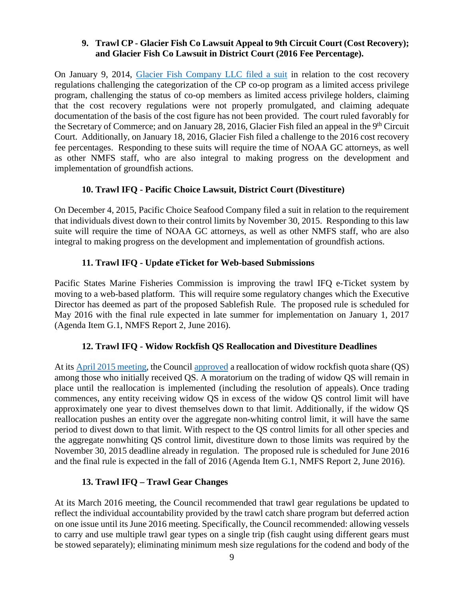#### <span id="page-8-0"></span>**9. Trawl CP - Glacier Fish Co Lawsuit Appeal to 9th Circuit Court (Cost Recovery); and Glacier Fish Co Lawsuit in District Court (2016 Fee Percentage).**

On January 9, 2014, [Glacier Fish Company LLC filed a suit](http://www.pcouncil.org/wp-content/uploads/Cost_Recovery_Complaint_1_9_2014.pdf) in relation to the cost recovery regulations challenging the categorization of the CP co-op program as a limited access privilege program, challenging the status of co-op members as limited access privilege holders, claiming that the cost recovery regulations were not properly promulgated, and claiming adequate documentation of the basis of the cost figure has not been provided. The court ruled favorably for the Secretary of Commerce; and on January 28, 2016, Glacier Fish filed an appeal in the  $9<sup>th</sup>$  Circuit Court. Additionally, on January 18, 2016, Glacier Fish filed a challenge to the 2016 cost recovery fee percentages. Responding to these suits will require the time of NOAA GC attorneys, as well as other NMFS staff, who are also integral to making progress on the development and implementation of groundfish actions.

# **10. Trawl IFQ - Pacific Choice Lawsuit, District Court (Divestiture)**

<span id="page-8-1"></span>On December 4, 2015, Pacific Choice Seafood Company filed a suit in relation to the requirement that individuals divest down to their control limits by November 30, 2015. Responding to this law suite will require the time of NOAA GC attorneys, as well as other NMFS staff, who are also integral to making progress on the development and implementation of groundfish actions.

## **11. Trawl IFQ - Update eTicket for Web-based Submissions**

<span id="page-8-2"></span>Pacific States Marine Fisheries Commission is improving the trawl IFQ e-Ticket system by moving to a web-based platform. This will require some regulatory changes which the Executive Director has deemed as part of the proposed Sablefish Rule. The proposed rule is scheduled for May 2016 with the final rule expected in late summer for implementation on January 1, 2017 (Agenda Item G.1, NMFS Report 2, June 2016).

# **12. Trawl IFQ - Widow Rockfish QS Reallocation and Divestiture Deadlines**

<span id="page-8-3"></span>At its [April 2015 meeting,](http://www.pcouncil.org/resources/archives/briefing-books/april-2015-briefing-book/#gfApr2015) the Council [approved](http://www.pcouncil.org/wp-content/uploads/2015/06/April_2015_FINAL_CouncilMtgRecord.pdf) a reallocation of widow rockfish quota share (QS) among those who initially received QS. A moratorium on the trading of widow QS will remain in place until the reallocation is implemented (including the resolution of appeals). Once trading commences, any entity receiving widow QS in excess of the widow QS control limit will have approximately one year to divest themselves down to that limit. Additionally, if the widow QS reallocation pushes an entity over the aggregate non-whiting control limit, it will have the same period to divest down to that limit. With respect to the QS control limits for all other species and the aggregate nonwhiting QS control limit, divestiture down to those limits was required by the November 30, 2015 deadline already in regulation. The proposed rule is scheduled for June 2016 and the final rule is expected in the fall of 2016 (Agenda Item G.1, NMFS Report 2, June 2016).

### **13. Trawl IFQ – Trawl Gear Changes**

<span id="page-8-4"></span>At its March 2016 meeting, the Council recommended that trawl gear regulations be updated to reflect the individual accountability provided by the trawl catch share program but deferred action on one issue until its June 2016 meeting. Specifically, the Council recommended: allowing vessels to carry and use multiple trawl gear types on a single trip (fish caught using different gears must be stowed separately); eliminating minimum mesh size regulations for the codend and body of the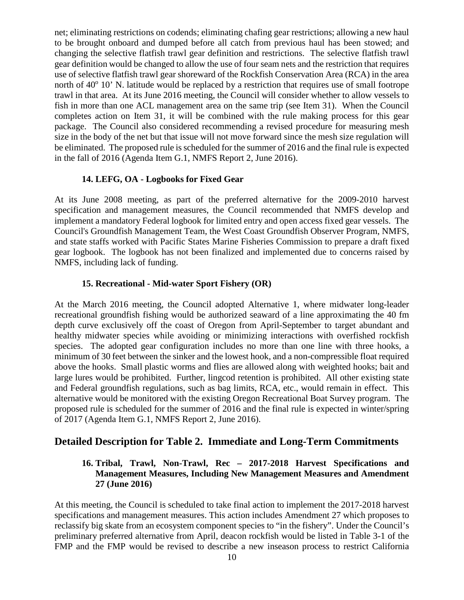net; eliminating restrictions on codends; eliminating chafing gear restrictions; allowing a new haul to be brought onboard and dumped before all catch from previous haul has been stowed; and changing the selective flatfish trawl gear definition and restrictions. The selective flatfish trawl gear definition would be changed to allow the use of four seam nets and the restriction that requires use of selective flatfish trawl gear shoreward of the Rockfish Conservation Area (RCA) in the area north of  $40^{\circ}$  10' N. latitude would be replaced by a restriction that requires use of small footrope trawl in that area. At its June 2016 meeting, the Council will consider whether to allow vessels to fish in more than one ACL management area on the same trip (see Item [31\)](#page-12-4). When the Council completes action on Item [31,](#page-12-4) it will be combined with the rule making process for this gear package. The Council also considered recommending a revised procedure for measuring mesh size in the body of the net but that issue will not move forward since the mesh size regulation will be eliminated. The proposed rule is scheduled for the summer of 2016 and the final rule is expected in the fall of 2016 (Agenda Item G.1, NMFS Report 2, June 2016).

#### **14. LEFG, OA - Logbooks for Fixed Gear**

<span id="page-9-0"></span>At its June 2008 meeting, as part of the preferred alternative for the 2009-2010 harvest specification and management measures, the Council recommended that NMFS develop and implement a mandatory Federal logbook for limited entry and open access fixed gear vessels. The Council's Groundfish Management Team, the West Coast Groundfish Observer Program, NMFS, and state staffs worked with Pacific States Marine Fisheries Commission to prepare a draft fixed gear logbook. The logbook has not been finalized and implemented due to concerns raised by NMFS, including lack of funding.

#### **15. Recreational - Mid-water Sport Fishery (OR)**

<span id="page-9-1"></span>At the March 2016 meeting, the Council adopted Alternative 1, where midwater long-leader recreational groundfish fishing would be authorized seaward of a line approximating the 40 fm depth curve exclusively off the coast of Oregon from April-September to target abundant and healthy midwater species while avoiding or minimizing interactions with overfished rockfish species. The adopted gear configuration includes no more than one line with three hooks, a minimum of 30 feet between the sinker and the lowest hook, and a non-compressible float required above the hooks. Small plastic worms and flies are allowed along with weighted hooks; bait and large lures would be prohibited. Further, lingcod retention is prohibited. All other existing state and Federal groundfish regulations, such as bag limits, RCA, etc., would remain in effect. This alternative would be monitored with the existing Oregon Recreational Boat Survey program. The proposed rule is scheduled for the summer of 2016 and the final rule is expected in winter/spring of 2017 (Agenda Item G.1, NMFS Report 2, June 2016).

### <span id="page-9-2"></span>**Detailed Description for Table 2. Immediate and Long-Term Commitments**

### **16. Tribal, Trawl, Non-Trawl, Rec – 2017-2018 Harvest Specifications and Management Measures, Including New Management Measures and Amendment 27 (June 2016)**

At this meeting, the Council is scheduled to take final action to implement the 2017-2018 harvest specifications and management measures. This action includes Amendment 27 which proposes to reclassify big skate from an ecosystem component species to "in the fishery". Under the Council's preliminary preferred alternative from April, deacon rockfish would be listed in Table 3-1 of the FMP and the FMP would be revised to describe a new inseason process to restrict California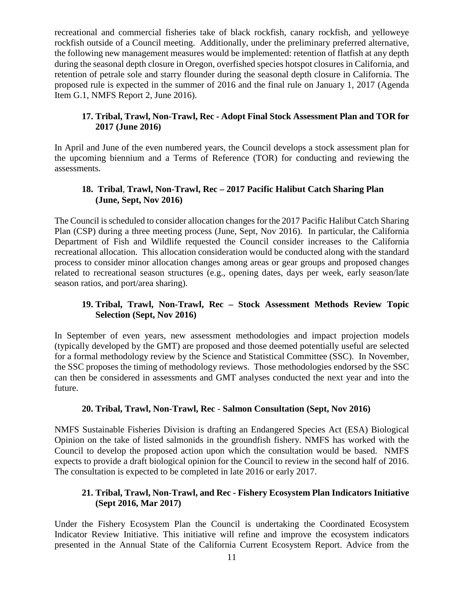recreational and commercial fisheries take of black rockfish, canary rockfish, and yelloweye rockfish outside of a Council meeting. Additionally, under the preliminary preferred alternative, the following new management measures would be implemented: retention of flatfish at any depth during the seasonal depth closure in Oregon, overfished species hotspot closures in California, and retention of petrale sole and starry flounder during the seasonal depth closure in California. The proposed rule is expected in the summer of 2016 and the final rule on January 1, 2017 (Agenda Item G.1, NMFS Report 2, June 2016).

### <span id="page-10-0"></span>**17. Tribal, Trawl, Non-Trawl, Rec - Adopt Final Stock Assessment Plan and TOR for 2017 (June 2016)**

In April and June of the even numbered years, the Council develops a stock assessment plan for the upcoming biennium and a Terms of Reference (TOR) for conducting and reviewing the assessments.

## <span id="page-10-1"></span>**18. Tribal**, **Trawl, Non-Trawl, Rec – 2017 Pacific Halibut Catch Sharing Plan (June, Sept, Nov 2016)**

The Council is scheduled to consider allocation changes for the 2017 Pacific Halibut Catch Sharing Plan (CSP) during a three meeting process (June, Sept, Nov 2016). In particular, the California Department of Fish and Wildlife requested the Council consider increases to the California recreational allocation. This allocation consideration would be conducted along with the standard process to consider minor allocation changes among areas or gear groups and proposed changes related to recreational season structures (e.g., opening dates, days per week, early season/late season ratios, and port/area sharing).

## <span id="page-10-2"></span>**19. Tribal, Trawl, Non-Trawl, Rec – Stock Assessment Methods Review Topic Selection (Sept, Nov 2016)**

In September of even years, new assessment methodologies and impact projection models (typically developed by the GMT) are proposed and those deemed potentially useful are selected for a formal methodology review by the Science and Statistical Committee (SSC). In November, the SSC proposes the timing of methodology reviews. Those methodologies endorsed by the SSC can then be considered in assessments and GMT analyses conducted the next year and into the future.

### **20. Tribal, Trawl, Non-Trawl, Rec** - **Salmon Consultation (Sept, Nov 2016)**

<span id="page-10-3"></span>NMFS Sustainable Fisheries Division is drafting an Endangered Species Act (ESA) Biological Opinion on the take of listed salmonids in the groundfish fishery. NMFS has worked with the Council to develop the proposed action upon which the consultation would be based. NMFS expects to provide a draft biological opinion for the Council to review in the second half of 2016. The consultation is expected to be completed in late 2016 or early 2017.

### <span id="page-10-4"></span>**21. Tribal, Trawl, Non-Trawl, and Rec - Fishery Ecosystem Plan Indicators Initiative (Sept 2016, Mar 2017)**

Under the Fishery Ecosystem Plan the Council is undertaking the Coordinated Ecosystem Indicator Review Initiative. This initiative will refine and improve the ecosystem indicators presented in the Annual State of the California Current Ecosystem Report. Advice from the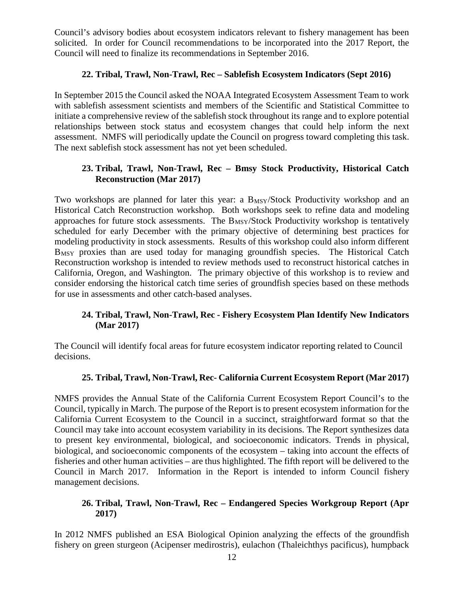Council's advisory bodies about ecosystem indicators relevant to fishery management has been solicited. In order for Council recommendations to be incorporated into the 2017 Report, the Council will need to finalize its recommendations in September 2016.

### **22. Tribal, Trawl, Non-Trawl, Rec – Sablefish Ecosystem Indicators (Sept 2016)**

<span id="page-11-0"></span>In September 2015 the Council asked the NOAA Integrated Ecosystem Assessment Team to work with sablefish assessment scientists and members of the Scientific and Statistical Committee to initiate a comprehensive review of the sablefish stock throughout its range and to explore potential relationships between stock status and ecosystem changes that could help inform the next assessment. NMFS will periodically update the Council on progress toward completing this task. The next sablefish stock assessment has not yet been scheduled.

### <span id="page-11-1"></span>**23. Tribal, Trawl, Non-Trawl, Rec – Bmsy Stock Productivity, Historical Catch Reconstruction (Mar 2017)**

Two workshops are planned for later this year: a B<sub>MSY</sub>/Stock Productivity workshop and an Historical Catch Reconstruction workshop. Both workshops seek to refine data and modeling approaches for future stock assessments. The  $B_{MSY}/Stock$  Productivity workshop is tentatively scheduled for early December with the primary objective of determining best practices for modeling productivity in stock assessments. Results of this workshop could also inform different B<sub>MSY</sub> proxies than are used today for managing groundfish species. The Historical Catch Reconstruction workshop is intended to review methods used to reconstruct historical catches in California, Oregon, and Washington. The primary objective of this workshop is to review and consider endorsing the historical catch time series of groundfish species based on these methods for use in assessments and other catch-based analyses.

### <span id="page-11-2"></span>**24. Tribal, Trawl, Non-Trawl, Rec - Fishery Ecosystem Plan Identify New Indicators (Mar 2017)**

The Council will identify focal areas for future ecosystem indicator reporting related to Council decisions.

### **25. Tribal, Trawl, Non-Trawl, Rec- California Current Ecosystem Report (Mar 2017)**

<span id="page-11-3"></span>NMFS provides the Annual State of the California Current Ecosystem Report Council's to the Council, typically in March. The purpose of the Report is to present ecosystem information for the California Current Ecosystem to the Council in a succinct, straightforward format so that the Council may take into account ecosystem variability in its decisions. The Report synthesizes data to present key environmental, biological, and socioeconomic indicators. Trends in physical, biological, and socioeconomic components of the ecosystem – taking into account the effects of fisheries and other human activities – are thus highlighted. The fifth report will be delivered to the Council in March 2017. Information in the Report is intended to inform Council fishery management decisions.

#### <span id="page-11-4"></span>**26. Tribal, Trawl, Non-Trawl, Rec – Endangered Species Workgroup Report (Apr 2017)**

In 2012 NMFS published an ESA Biological Opinion analyzing the effects of the groundfish fishery on green sturgeon (Acipenser medirostris), eulachon (Thaleichthys pacificus), humpback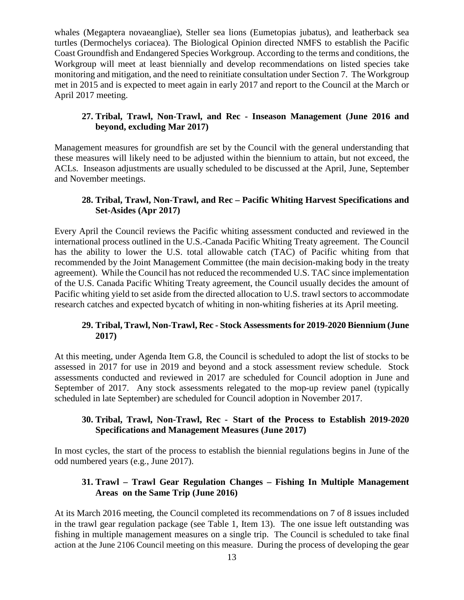whales (Megaptera novaeangliae), Steller sea lions (Eumetopias jubatus), and leatherback sea turtles (Dermochelys coriacea). The Biological Opinion directed NMFS to establish the Pacific Coast Groundfish and Endangered Species Workgroup. According to the terms and conditions, the Workgroup will meet at least biennially and develop recommendations on listed species take monitoring and mitigation, and the need to reinitiate consultation under Section 7. The Workgroup met in 2015 and is expected to meet again in early 2017 and report to the Council at the March or April 2017 meeting.

### <span id="page-12-0"></span>**27. Tribal, Trawl, Non-Trawl, and Rec - Inseason Management (June 2016 and beyond, excluding Mar 2017)**

Management measures for groundfish are set by the Council with the general understanding that these measures will likely need to be adjusted within the biennium to attain, but not exceed, the ACLs. Inseason adjustments are usually scheduled to be discussed at the April, June, September and November meetings.

## <span id="page-12-1"></span>**28. Tribal, Trawl, Non-Trawl, and Rec – Pacific Whiting Harvest Specifications and Set-Asides (Apr 2017)**

Every April the Council reviews the Pacific whiting assessment conducted and reviewed in the international process outlined in the U.S.-Canada Pacific Whiting Treaty agreement. The Council has the ability to lower the U.S. total allowable catch (TAC) of Pacific whiting from that recommended by the Joint Management Committee (the main decision-making body in the treaty agreement). While the Council has not reduced the recommended U.S. TAC since implementation of the U.S. Canada Pacific Whiting Treaty agreement, the Council usually decides the amount of Pacific whiting yield to set aside from the directed allocation to U.S. trawl sectors to accommodate research catches and expected bycatch of whiting in non-whiting fisheries at its April meeting.

### <span id="page-12-2"></span>**29. Tribal, Trawl, Non-Trawl, Rec - Stock Assessments for 2019-2020 Biennium (June 2017)**

At this meeting, under Agenda Item G.8, the Council is scheduled to adopt the list of stocks to be assessed in 2017 for use in 2019 and beyond and a stock assessment review schedule. Stock assessments conducted and reviewed in 2017 are scheduled for Council adoption in June and September of 2017. Any stock assessments relegated to the mop-up review panel (typically scheduled in late September) are scheduled for Council adoption in November 2017.

### <span id="page-12-3"></span>**30. Tribal, Trawl, Non-Trawl, Rec - Start of the Process to Establish 2019-2020 Specifications and Management Measures (June 2017)**

In most cycles, the start of the process to establish the biennial regulations begins in June of the odd numbered years (e.g., June 2017).

### <span id="page-12-4"></span>**31. Trawl – Trawl Gear Regulation Changes – Fishing In Multiple Management Areas on the Same Trip (June 2016)**

At its March 2016 meeting, the Council completed its recommendations on 7 of 8 issues included in the trawl gear regulation package (see Table 1, Item [13\)](#page-8-4). The one issue left outstanding was fishing in multiple management measures on a single trip. The Council is scheduled to take final action at the June 2106 Council meeting on this measure. During the process of developing the gear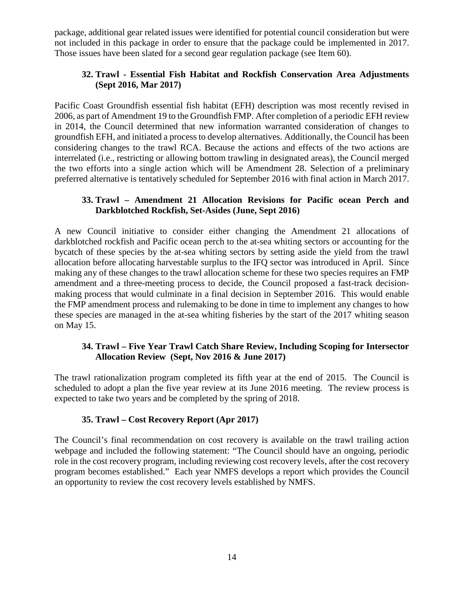package, additional gear related issues were identified for potential council consideration but were not included in this package in order to ensure that the package could be implemented in 2017. Those issues have been slated for a second gear regulation package (see Item [60\)](#page-19-3).

### <span id="page-13-0"></span>**32. Trawl - Essential Fish Habitat and Rockfish Conservation Area Adjustments (Sept 2016, Mar 2017)**

Pacific Coast Groundfish essential fish habitat (EFH) description was most recently revised in 2006, as part of Amendment 19 to the Groundfish FMP. After completion of a periodic EFH review in 2014, the Council determined that new information warranted consideration of changes to groundfish EFH, and initiated a process to develop alternatives. Additionally, the Council has been considering changes to the trawl RCA. Because the actions and effects of the two actions are interrelated (i.e., restricting or allowing bottom trawling in designated areas), the Council merged the two efforts into a single action which will be Amendment 28. Selection of a preliminary preferred alternative is tentatively scheduled for September 2016 with final action in March 2017.

### <span id="page-13-1"></span>**33. Trawl – Amendment 21 Allocation Revisions for Pacific ocean Perch and Darkblotched Rockfish, Set-Asides (June, Sept 2016)**

A new Council initiative to consider either changing the Amendment 21 allocations of darkblotched rockfish and Pacific ocean perch to the at-sea whiting sectors or accounting for the bycatch of these species by the at-sea whiting sectors by setting aside the yield from the trawl allocation before allocating harvestable surplus to the IFQ sector was introduced in April. Since making any of these changes to the trawl allocation scheme for these two species requires an FMP amendment and a three-meeting process to decide, the Council proposed a fast-track decisionmaking process that would culminate in a final decision in September 2016. This would enable the FMP amendment process and rulemaking to be done in time to implement any changes to how these species are managed in the at-sea whiting fisheries by the start of the 2017 whiting season on May 15.

### <span id="page-13-2"></span>**34. Trawl – Five Year Trawl Catch Share Review, Including Scoping for Intersector Allocation Review (Sept, Nov 2016 & June 2017)**

The trawl rationalization program completed its fifth year at the end of 2015. The Council is scheduled to adopt a plan the five year review at its June 2016 meeting. The review process is expected to take two years and be completed by the spring of 2018.

### **35. Trawl – Cost Recovery Report (Apr 2017)**

<span id="page-13-3"></span>The Council's final [recommendation](http://www.pcouncil.org/wp-content/uploads/CR_Council_Sept2011_Action_Fin.pdf) on cost recovery is available on the [trawl trailing action](http://www.pcouncil.org/groundfish/trawl-rationalization-amendment-20-and-intersector-allocation-amendment-21-trailing-actions/)  [webpage](http://www.pcouncil.org/groundfish/trawl-rationalization-amendment-20-and-intersector-allocation-amendment-21-trailing-actions/) and included the following statement: "The Council should have an ongoing, periodic role in the cost recovery program, including reviewing cost recovery levels, after the cost recovery program becomes established." Each year NMFS develops a report which provides the Council an opportunity to review the cost recovery levels established by NMFS.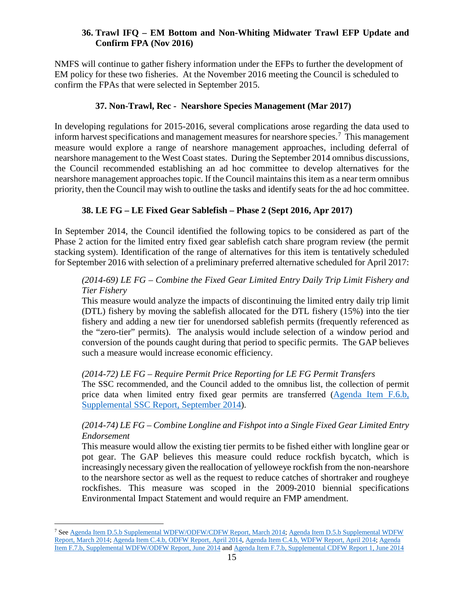### <span id="page-14-0"></span>**36. Trawl IFQ – EM Bottom and Non-Whiting Midwater Trawl EFP Update and Confirm FPA (Nov 2016)**

NMFS will continue to gather fishery information under the EFPs to further the development of EM policy for these two fisheries. At the November 2016 meeting the Council is scheduled to confirm the FPAs that were selected in September 2015.

## **37. Non-Trawl, Rec - Nearshore Species Management (Mar 2017)**

<span id="page-14-1"></span>In developing regulations for 2015-2016, several complications arose regarding the data used to inform harvest specifications and management measures for nearshore species.<sup>[7](#page-14-3)</sup> This management measure would explore a range of nearshore management approaches, including deferral of nearshore management to the West Coast states. During the September 2014 omnibus discussions, the Council recommended establishing an ad hoc committee to develop alternatives for the nearshore management approaches topic. If the Council maintains this item as a near term omnibus priority, then the Council may wish to outline the tasks and identify seats for the ad hoc committee.

## **38. LE FG – LE Fixed Gear Sablefish – Phase 2 (Sept 2016, Apr 2017)**

<span id="page-14-2"></span>In September 2014, the Council identified the following topics to be considered as part of the Phase 2 action for the limited entry fixed gear sablefish catch share program review (the permit stacking system). Identification of the range of alternatives for this item is tentatively scheduled for September 2016 with selection of a preliminary preferred alternative scheduled for April 2017:

## *(2014-69) LE FG – Combine the Fixed Gear Limited Entry Daily Trip Limit Fishery and Tier Fishery*

This measure would analyze the impacts of discontinuing the limited entry daily trip limit (DTL) fishery by moving the sablefish allocated for the DTL fishery (15%) into the tier fishery and adding a new tier for unendorsed sablefish permits (frequently referenced as the "zero-tier" permits). The analysis would include selection of a window period and conversion of the pounds caught during that period to specific permits. The GAP believes such a measure would increase economic efficiency.

### *(2014-72) LE FG – Require Permit Price Reporting for LE FG Permit Transfers*

The SSC recommended, and the Council added to the omnibus list, the collection of permit price data when limited entry fixed gear permits are transferred [\(Agenda Item F.6.b,](http://www.pcouncil.org/wp-content/uploads/F6b_SUP_SSC_Rpt_JUNE2014BB.pdf)  [Supplemental SSC Report,](http://www.pcouncil.org/wp-content/uploads/F6b_SUP_SSC_Rpt_JUNE2014BB.pdf) September 2014).

### *(2014-74) LE FG – Combine Longline and Fishpot into a Single Fixed Gear Limited Entry Endorsement*

This measure would allow the existing tier permits to be fished either with longline gear or pot gear. The GAP believes this measure could reduce rockfish bycatch, which is increasingly necessary given the reallocation of yelloweye rockfish from the non-nearshore to the nearshore sector as well as the request to reduce catches of shortraker and rougheye rockfishes. This measure was scoped in the 2009-2010 biennial specifications Environmental Impact Statement and would require an FMP amendment.

<span id="page-14-3"></span> <sup>7</sup> See Agenda Item [D.5.b Supplemental WDFW/ODFW/CDFW Report, March 2014;](http://www.pcouncil.org/wp-content/uploads/D5b_SUP_3STATE_RPT_2015_2016_MAR2014BB.pdf) [Agenda Item D.5.b Supplemental WDFW](http://www.pcouncil.org/wp-content/uploads/D5b_SUP_WDFW_RPT_MAR2014BB.pdf)  [Report, March 2014;](http://www.pcouncil.org/wp-content/uploads/D5b_SUP_WDFW_RPT_MAR2014BB.pdf) [Agenda Item C.4.b, ODFW Report, April 2014,](http://www.pcouncil.org/wp-content/uploads/C4b_ODFW_Rpt_KelpGreenlingDPM_APR2014BB.pdf) [Agenda Item C.4.b, WDFW Report, April 2014;](http://www.pcouncil.org/wp-content/uploads/C4b_WDFW_Rpt_15_16_GF_BiSpex_APR2014BB.pdf) [Agenda](http://www.pcouncil.org/wp-content/uploads/F7b_SUP_WDFW_ODFW_Rpt_JUNE2014BB.pdf)  [Item F.7.b, Supplemental WDFW/ODFW Report, June 2014](http://www.pcouncil.org/wp-content/uploads/F7b_SUP_WDFW_ODFW_Rpt_JUNE2014BB.pdf) and Agenda [Item F.7.b, Supplemental CDFW Report 1, June 2014](http://www.pcouncil.org/wp-content/uploads/F7b_SUP_CDFW_Rpt1_JUNE2014BB.pdf)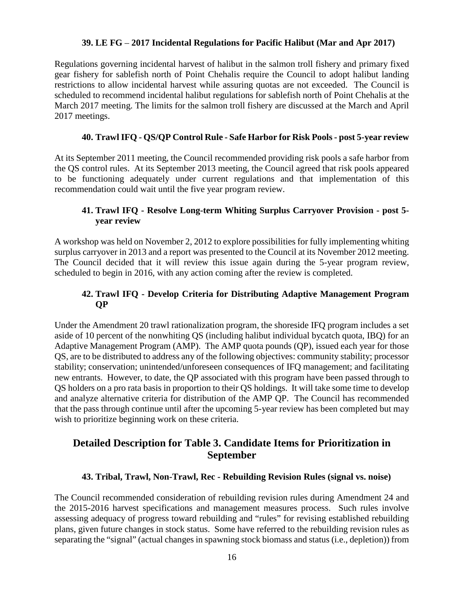#### **39. LE FG** – **2017 Incidental Regulations for Pacific Halibut (Mar and Apr 2017)**

<span id="page-15-0"></span>Regulations governing incidental harvest of halibut in the salmon troll fishery and primary fixed gear fishery for sablefish north of Point Chehalis require the Council to adopt halibut landing restrictions to allow incidental harvest while assuring quotas are not exceeded. The Council is scheduled to recommend incidental halibut regulations for sablefish north of Point Chehalis at the March 2017 meeting. The limits for the salmon troll fishery are discussed at the March and April 2017 meetings.

#### **40. TrawlIFQ - QS/QP Control Rule - Safe Harbor for Risk Pools - post 5-year review**

<span id="page-15-1"></span>At its September 2011 meeting, the Council recommended providing risk pools a safe harbor from the QS control rules. At its September 2013 meeting, the Council agreed that risk pools appeared to be functioning adequately under current regulations and that implementation of this recommendation could wait until the five year program review.

#### <span id="page-15-2"></span>**41. Trawl IFQ - Resolve Long-term Whiting Surplus Carryover Provision - post 5 year review**

A workshop was held on November 2, 2012 to explore possibilities for fully implementing whiting surplus carryover in 2013 and a report was presented to the Council at its November 2012 meeting. The Council decided that it will review this issue again during the 5-year program review, scheduled to begin in 2016, with any action coming after the review is completed.

## <span id="page-15-3"></span>**42. Trawl IFQ - Develop Criteria for Distributing Adaptive Management Program QP**

Under the Amendment 20 trawl rationalization program, the shoreside IFQ program includes a set aside of 10 percent of the nonwhiting QS (including halibut individual bycatch quota, IBQ) for an Adaptive Management Program (AMP). The AMP quota pounds (QP), issued each year for those QS, are to be distributed to address any of the following objectives: community stability; processor stability; conservation; unintended/unforeseen consequences of IFQ management; and facilitating new entrants. However, to date, the QP associated with this program have been passed through to QS holders on a pro rata basis in proportion to their QS holdings. It will take some time to develop and analyze alternative criteria for distribution of the AMP QP. The Council has recommended that the pass through continue until after the upcoming 5-year review has been completed but may wish to prioritize beginning work on these criteria.

# **Detailed Description for Table 3. Candidate Items for Prioritization in September**

#### **43. Tribal, Trawl, Non-Trawl, Rec - Rebuilding Revision Rules (signal vs. noise)**

<span id="page-15-4"></span>The Council recommended consideration of rebuilding revision rules during Amendment 24 and the 2015-2016 harvest specifications and management measures process. Such rules involve assessing adequacy of progress toward rebuilding and "rules" for revising established rebuilding plans, given future changes in stock status. Some have referred to the rebuilding revision rules as separating the "signal" (actual changes in spawning stock biomass and status (i.e., depletion)) from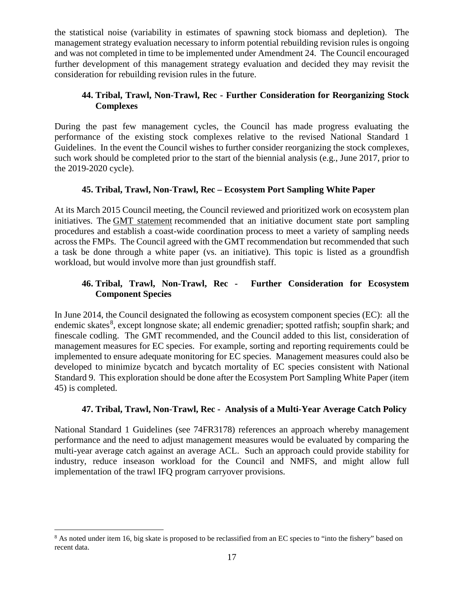the statistical noise (variability in estimates of spawning stock biomass and depletion). The management strategy evaluation necessary to inform potential rebuilding revision rules is ongoing and was not completed in time to be implemented under Amendment 24. The Council encouraged further development of this management strategy evaluation and decided they may revisit the consideration for rebuilding revision rules in the future.

## <span id="page-16-0"></span>**44. Tribal, Trawl, Non-Trawl, Rec - Further Consideration for Reorganizing Stock Complexes**

During the past few management cycles, the Council has made progress evaluating the performance of the existing stock complexes relative to the revised National Standard 1 Guidelines. In the event the Council wishes to further consider reorganizing the stock complexes, such work should be completed prior to the start of the biennial analysis (e.g., June 2017, prior to the 2019-2020 cycle).

# **45. Tribal, Trawl, Non-Trawl, Rec – Ecosystem Port Sampling White Paper**

<span id="page-16-1"></span>At its March 2015 Council meeting, the Council reviewed and prioritized work on ecosystem plan initiatives. The [GMT statement](http://www.pcouncil.org/wp-content/uploads/2015/03/E2b_Sup_GMT_Rpt_MAR2015BB.pdf) recommended that an initiative document state port sampling procedures and establish a coast-wide coordination process to meet a variety of sampling needs across the FMPs. The Council agreed with the GMT recommendation but recommended that such a task be done through a white paper (vs. an initiative). This topic is listed as a groundfish workload, but would involve more than just groundfish staff.

## <span id="page-16-2"></span>**46. Tribal, Trawl, Non-Trawl, Rec - Further Consideration for Ecosystem Component Species**

In June 2014, the Council designated the following as ecosystem component species (EC): all the endemic skates<sup>[8](#page-16-4)</sup>, except longnose skate; all endemic grenadier; spotted ratfish; soupfin shark; and finescale codling. The GMT recommended, and the Council added to this list, consideration of management measures for EC species. For example, sorting and reporting requirements could be implemented to ensure adequate monitoring for EC species. Management measures could also be developed to minimize bycatch and bycatch mortality of EC species consistent with National Standard 9. This exploration should be done after the Ecosystem Port Sampling White Paper (item 45) is completed.

# **47. Tribal, Trawl, Non-Trawl, Rec - Analysis of a Multi-Year Average Catch Policy**

<span id="page-16-3"></span>National Standard 1 Guidelines (see 74FR3178) references an approach whereby management performance and the need to adjust management measures would be evaluated by comparing the multi-year average catch against an average ACL. Such an approach could provide stability for industry, reduce inseason workload for the Council and NMFS, and might allow full implementation of the trawl IFQ program carryover provisions.

<span id="page-16-4"></span><sup>&</sup>lt;sup>8</sup> As noted under item 16, big skate is proposed to be reclassified from an EC species to "into the fishery" based on recent data.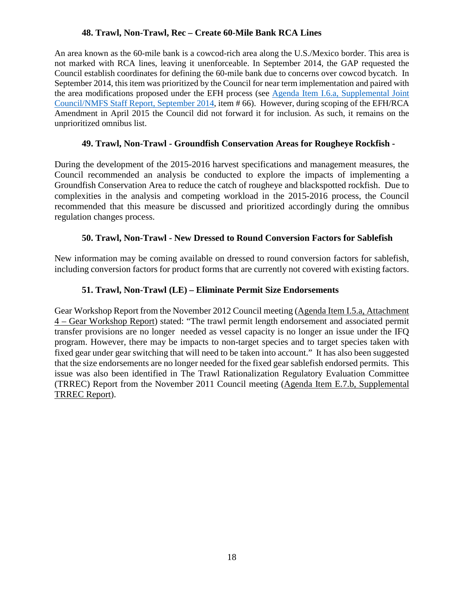## **48. Trawl, Non-Trawl, Rec – Create 60-Mile Bank RCA Lines**

<span id="page-17-0"></span>An area known as the 60-mile bank is a cowcod-rich area along the U.S./Mexico border. This area is not marked with RCA lines, leaving it unenforceable. In September 2014, the GAP requested the Council establish coordinates for defining the 60-mile bank due to concerns over cowcod bycatch. In September 2014, this item was prioritized by the Council for near term implementation and paired with the area modifications proposed under the EFH process (see [Agenda Item I.6.a, Supplemental Joint](http://www.pcouncil.org/wp-content/uploads/I6a_Sup_Joint_NMFSandPFMCstaff_Rpt_SEPT2014BB.pdf)  [Council/NMFS Staff Report, September 2014,](http://www.pcouncil.org/wp-content/uploads/I6a_Sup_Joint_NMFSandPFMCstaff_Rpt_SEPT2014BB.pdf) item # 66). However, during scoping of the EFH/RCA Amendment in April 2015 the Council did not forward it for inclusion. As such, it remains on the unprioritized omnibus list.

## **49. Trawl, Non-Trawl - Groundfish Conservation Areas for Rougheye Rockfish -**

<span id="page-17-1"></span>During the development of the 2015-2016 harvest specifications and management measures, the Council recommended an analysis be conducted to explore the impacts of implementing a Groundfish Conservation Area to reduce the catch of rougheye and blackspotted rockfish. Due to complexities in the analysis and competing workload in the 2015-2016 process, the Council recommended that this measure be discussed and prioritized accordingly during the omnibus regulation changes process.

## **50. Trawl, Non-Trawl - New Dressed to Round Conversion Factors for Sablefish**

<span id="page-17-2"></span>New information may be coming available on dressed to round conversion factors for sablefish, including conversion factors for product forms that are currently not covered with existing factors.

## **51. Trawl, Non-Trawl (LE) – Eliminate Permit Size Endorsements**

<span id="page-17-3"></span>Gear Workshop Report from the November 2012 Council meeting [\(Agenda Item I.5.a, Attachment](http://www.pcouncil.org/wp-content/uploads/I5a_ATT4_GEAR_WKSHP_NOV2012BB.pdf)  4 – [Gear Workshop Report\)](http://www.pcouncil.org/wp-content/uploads/I5a_ATT4_GEAR_WKSHP_NOV2012BB.pdf) stated: "The trawl permit length endorsement and associated permit transfer provisions are no longer needed as vessel capacity is no longer an issue under the IFQ program. However, there may be impacts to non-target species and to target species taken with fixed gear under gear switching that will need to be taken into account." It has also been suggested that the size endorsements are no longer needed for the fixed gear sablefish endorsed permits. This issue was also been identified in The Trawl Rationalization Regulatory Evaluation Committee (TRREC) Report from the November 2011 Council meeting [\(Agenda Item E.7.b, Supplemental](http://www.pcouncil.org/wp-content/uploads/E7b_SUP_TRREC_NOV2011BB.pdf)  [TRREC Report\)](http://www.pcouncil.org/wp-content/uploads/E7b_SUP_TRREC_NOV2011BB.pdf).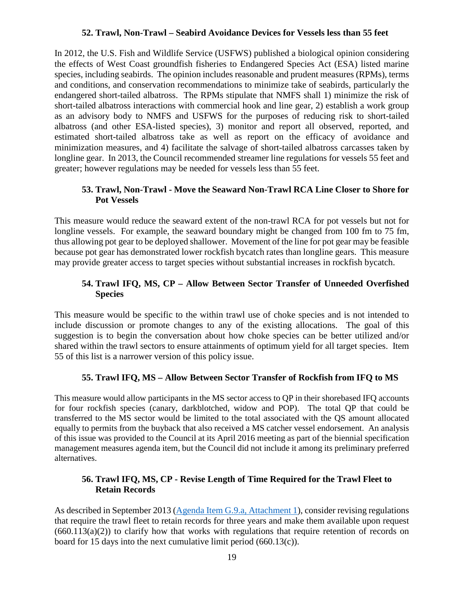#### **52. Trawl, Non-Trawl – Seabird Avoidance Devices for Vessels less than 55 feet**

<span id="page-18-0"></span>In 2012, the U.S. Fish and Wildlife Service (USFWS) published a biological opinion considering the effects of West Coast groundfish fisheries to Endangered Species Act (ESA) listed marine species, including seabirds. The opinion includes reasonable and prudent measures (RPMs), terms and conditions, and conservation recommendations to minimize take of seabirds, particularly the endangered short-tailed albatross. The RPMs stipulate that NMFS shall 1) minimize the risk of short-tailed albatross interactions with commercial hook and line gear, 2) establish a work group as an advisory body to NMFS and USFWS for the purposes of reducing risk to short-tailed albatross (and other ESA-listed species), 3) monitor and report all observed, reported, and estimated short-tailed albatross take as well as report on the efficacy of avoidance and minimization measures, and 4) facilitate the salvage of short-tailed albatross carcasses taken by longline gear. In 2013, the Council recommended streamer line regulations for vessels 55 feet and greater; however regulations may be needed for vessels less than 55 feet.

### <span id="page-18-1"></span>**53. Trawl, Non-Trawl - Move the Seaward Non-Trawl RCA Line Closer to Shore for Pot Vessels**

This measure would reduce the seaward extent of the non-trawl RCA for pot vessels but not for longline vessels. For example, the seaward boundary might be changed from 100 fm to 75 fm, thus allowing pot gear to be deployed shallower. Movement of the line for pot gear may be feasible because pot gear has demonstrated lower rockfish bycatch rates than longline gears. This measure may provide greater access to target species without substantial increases in rockfish bycatch.

## <span id="page-18-2"></span>**54. Trawl IFQ, MS, CP – Allow Between Sector Transfer of Unneeded Overfished Species**

This measure would be specific to the within trawl use of choke species and is not intended to include discussion or promote changes to any of the existing allocations. The goal of this suggestion is to begin the conversation about how choke species can be better utilized and/or shared within the trawl sectors to ensure attainments of optimum yield for all target species. Item [55](#page-18-3) of this list is a narrower version of this policy issue.

### **55. Trawl IFQ, MS – Allow Between Sector Transfer of Rockfish from IFQ to MS**

<span id="page-18-3"></span>This measure would allow participants in the MS sector access to QP in their shorebased IFQ accounts for four rockfish species (canary, darkblotched, widow and POP). The total QP that could be transferred to the MS sector would be limited to the total associated with the QS amount allocated equally to permits from the buyback that also received a MS catcher vessel endorsement. An analysis of this issue was provided to the Council at its April 2016 meeting as part of the biennial specification management measures agenda item, but the Council did not include it among its preliminary preferred alternatives.

## <span id="page-18-4"></span>**56. Trawl IFQ, MS, CP - Revise Length of Time Required for the Trawl Fleet to Retain Records**

As described in September 2013 [\(Agenda Item G.9.a, Attachment 1\)](http://www.pcouncil.org/wp-content/uploads/G9a_ATT1_SCOPING_OVERVIEW_SEPT2013BB.pdf), consider revising regulations that require the trawl fleet to retain records for three years and make them available upon request  $(660.113(a)(2))$  to clarify how that works with regulations that require retention of records on board for 15 days into the next cumulative limit period (660.13(c)).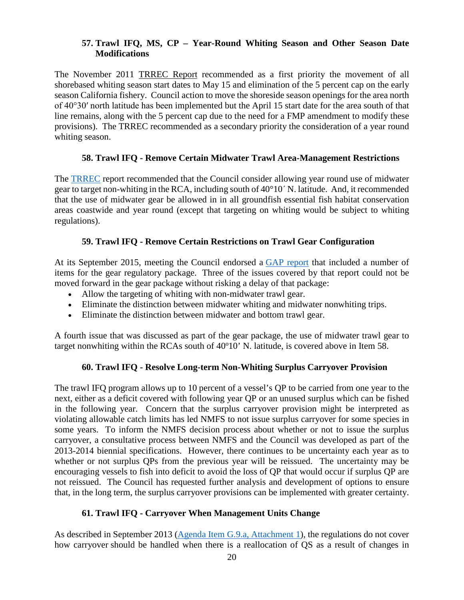### <span id="page-19-0"></span>**57. Trawl IFQ, MS, CP – Year-Round Whiting Season and Other Season Date Modifications**

The November 2011 [TRREC Report](http://www.pcouncil.org/wp-content/uploads/E7b_SUP_TRREC_NOV2011BB.pdf) recommended as a first priority the movement of all shorebased whiting season start dates to May 15 and elimination of the 5 percent cap on the early season California fishery. Council action to move the shoreside season openings for the area north of 40°30′ north latitude has been implemented but the April 15 start date for the area south of that line remains, along with the 5 percent cap due to the need for a FMP amendment to modify these provisions). The TRREC recommended as a secondary priority the consideration of a year round whiting season.

#### **58. Trawl IFQ - Remove Certain Midwater Trawl Area-Management Restrictions**

<span id="page-19-1"></span>The [TRREC](http://www.pcouncil.org/wp-content/uploads/E7b_SUP_TRREC_NOV2011BB.pdf) report recommended that the Council consider allowing year round use of midwater gear to target non-whiting in the RCA, including south of 40°10´ N. latitude. And, it recommended that the use of midwater gear be allowed in in all groundfish essential fish habitat conservation areas coastwide and year round (except that targeting on whiting would be subject to whiting regulations).

#### **59. Trawl IFQ - Remove Certain Restrictions on Trawl Gear Configuration**

<span id="page-19-2"></span>At its September 2015, meeting the Council endorsed a [GAP report](http://www.pcouncil.org/wp-content/uploads/2015/09/H2a_SUP_GAP_Rpt_SEPT2015BB.pdf) that included a number of items for the gear regulatory package. Three of the issues covered by that report could not be moved forward in the gear package without risking a delay of that package:

- Allow the targeting of whiting with non-midwater trawl gear.
- Eliminate the distinction between midwater whiting and midwater nonwhiting trips.
- Eliminate the distinction between midwater and bottom trawl gear.

A fourth issue that was discussed as part of the gear package, the use of midwater trawl gear to target nonwhiting within the RCAs south of  $40^{\circ}10'$  N. latitude, is covered above in Item [58.](#page-19-1)

#### **60. Trawl IFQ - Resolve Long-term Non-Whiting Surplus Carryover Provision**

<span id="page-19-3"></span>The trawl IFQ program allows up to 10 percent of a vessel's QP to be carried from one year to the next, either as a deficit covered with following year QP or an unused surplus which can be fished in the following year. Concern that the surplus carryover provision might be interpreted as violating allowable catch limits has led NMFS to not issue surplus carryover for some species in some years. To inform the NMFS decision process about whether or not to issue the surplus carryover, a consultative process between NMFS and the Council was developed as part of the 2013-2014 biennial specifications. However, there continues to be uncertainty each year as to whether or not surplus QPs from the previous year will be reissued. The uncertainty may be encouraging vessels to fish into deficit to avoid the loss of QP that would occur if surplus QP are not reissued. The Council has requested further analysis and development of options to ensure that, in the long term, the surplus carryover provisions can be implemented with greater certainty.

#### **61. Trawl IFQ - Carryover When Management Units Change**

<span id="page-19-4"></span>As described in September 2013 [\(Agenda Item G.9.a, Attachment 1\)](http://www.pcouncil.org/wp-content/uploads/G9a_ATT1_SCOPING_OVERVIEW_SEPT2013BB.pdf), the regulations do not cover how carryover should be handled when there is a reallocation of QS as a result of changes in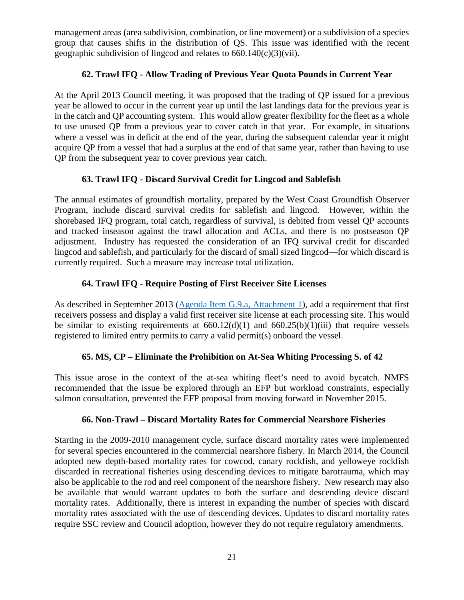management areas (area subdivision, combination, or line movement) or a subdivision of a species group that causes shifts in the distribution of QS. This issue was identified with the recent geographic subdivision of lingcod and relates to 660.140(c)(3)(vii).

## **62. Trawl IFQ - Allow Trading of Previous Year Quota Pounds in Current Year**

<span id="page-20-0"></span>At the April 2013 Council meeting, it was proposed that the trading of QP issued for a previous year be allowed to occur in the current year up until the last landings data for the previous year is in the catch and QP accounting system. This would allow greater flexibility for the fleet as a whole to use unused QP from a previous year to cover catch in that year. For example, in situations where a vessel was in deficit at the end of the year, during the subsequent calendar year it might acquire QP from a vessel that had a surplus at the end of that same year, rather than having to use QP from the subsequent year to cover previous year catch.

### **63. Trawl IFQ - Discard Survival Credit for Lingcod and Sablefish**

<span id="page-20-1"></span>The annual estimates of groundfish mortality, prepared by the West Coast Groundfish Observer Program, include discard survival credits for sablefish and lingcod. However, within the shorebased IFQ program, total catch, regardless of survival, is debited from vessel QP accounts and tracked inseason against the trawl allocation and ACLs, and there is no postseason QP adjustment. Industry has requested the consideration of an IFQ survival credit for discarded lingcod and sablefish, and particularly for the discard of small sized lingcod—for which discard is currently required. Such a measure may increase total utilization.

# **64. Trawl IFQ - Require Posting of First Receiver Site Licenses**

<span id="page-20-2"></span>As described in September 2013 [\(Agenda Item G.9.a, Attachment 1\)](http://www.pcouncil.org/wp-content/uploads/G9a_ATT1_SCOPING_OVERVIEW_SEPT2013BB.pdf), add a requirement that first receivers possess and display a valid first receiver site license at each processing site. This would be similar to existing requirements at  $660.12(d)(1)$  and  $660.25(b)(1)(iii)$  that require vessels registered to limited entry permits to carry a valid permit(s) onboard the vessel.

### **65. MS, CP – Eliminate the Prohibition on At-Sea Whiting Processing S. of 42**

<span id="page-20-3"></span>This issue arose in the context of the at-sea whiting fleet's need to avoid bycatch. NMFS recommended that the issue be explored through an EFP but workload constraints, especially salmon consultation, prevented the EFP proposal from moving forward in November 2015.

### **66. Non-Trawl – Discard Mortality Rates for Commercial Nearshore Fisheries**

<span id="page-20-4"></span>Starting in the 2009-2010 management cycle, surface discard mortality rates were implemented for several species encountered in the commercial nearshore fishery. In March 2014, the Council adopted new depth-based mortality rates for cowcod, canary rockfish, and yelloweye rockfish discarded in recreational fisheries using descending devices to mitigate barotrauma, which may also be applicable to the rod and reel component of the nearshore fishery. New research may also be available that would warrant updates to both the surface and descending device discard mortality rates. Additionally, there is interest in expanding the number of species with discard mortality rates associated with the use of descending devices. Updates to discard mortality rates require SSC review and Council adoption, however they do not require regulatory amendments.